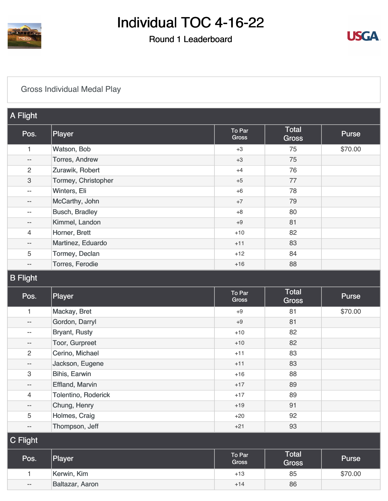

### Round 1 Leaderboard



### [Gross Individual Medal Play](https://cdn2.golfgenius.com/v2tournaments/8372859817999483641?called_from=&round_index=1)

| A Flight                  |                       |                 |                              |         |
|---------------------------|-----------------------|-----------------|------------------------------|---------|
| Pos.                      | Player                | To Par<br>Gross | <b>Total</b><br><b>Gross</b> | Purse   |
| 1                         | Watson, Bob           | $+3$            | 75                           | \$70.00 |
| $\qquad \qquad -$         | <b>Torres, Andrew</b> | $+3$            | 75                           |         |
| $\overline{2}$            | Zurawik, Robert       | $+4$            | 76                           |         |
| $\ensuremath{\mathsf{3}}$ | Tormey, Christopher   | $+5$            | 77                           |         |
| $\qquad \qquad -$         | Winters, Eli          | $+6$            | 78                           |         |
| $\qquad \qquad -$         | McCarthy, John        | $+7$            | 79                           |         |
| $\qquad \qquad -$         | <b>Busch, Bradley</b> | $+8$            | 80                           |         |
| --                        | Kimmel, Landon        | $+9$            | 81                           |         |
| $\overline{4}$            | Horner, Brett         | $+10$           | 82                           |         |
| $\overline{\phantom{m}}$  | Martinez, Eduardo     | $+11$           | 83                           |         |
| 5                         | Tormey, Declan        | $+12$           | 84                           |         |
| $\qquad \qquad -$         | Torres, Ferodie       | $+16$           | 88                           |         |
| ____                      |                       |                 |                              |         |

#### B Flight

| Pos.                      | Player                 | To Par<br>Gross | <b>Total</b><br><b>Gross</b> | Purse   |
|---------------------------|------------------------|-----------------|------------------------------|---------|
|                           | Mackay, Bret           | $+9$            | 81                           | \$70.00 |
| $-\,-$                    | Gordon, Darryl         | $+9$            | 81                           |         |
| $\overline{\phantom{m}}$  | <b>Bryant, Rusty</b>   | $+10$           | 82                           |         |
| $\overline{\phantom{a}}$  | Toor, Gurpreet         | $+10$           | 82                           |         |
| $\overline{2}$            | Cerino, Michael        | $+11$           | 83                           |         |
| $\overline{\phantom{a}}$  | Jackson, Eugene        | $+11$           | 83                           |         |
| $\ensuremath{\mathsf{3}}$ | Bihis, Earwin          | $+16$           | 88                           |         |
| $-\,-$                    | <b>Effland, Marvin</b> | $+17$           | 89                           |         |
| $\overline{4}$            | Tolentino, Roderick    | $+17$           | 89                           |         |
| $\qquad \qquad -$         | Chung, Henry           | $+19$           | 91                           |         |
| 5                         | Holmes, Craig          | $+20$           | 92                           |         |
| $-\,-$                    | Thompson, Jeff         | $+21$           | 93                           |         |
| $C$ Flight                |                        |                 |                              |         |
|                           |                        | $ -$            | Total                        |         |

| Pos.  | Player          | To Par<br><b>Gross</b> | <b>Total</b><br><b>Gross</b> | <b>Purse</b> |
|-------|-----------------|------------------------|------------------------------|--------------|
|       | Kerwin, Kim     | $+13$                  | 85                           | \$70.00      |
| $- -$ | Baltazar, Aaron | $+14$                  | 86                           |              |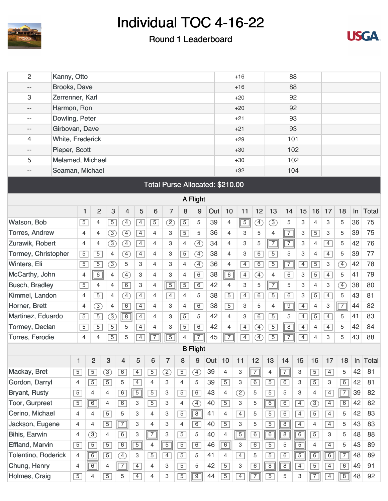

#### Round 1 Leaderboard



| 2                        | Kanny, Otto         |                                 |                |                |                              |                |                  |                |                |                              |     |                | $+16$          |                |                |                | 88             |                |                |                |       |              |  |
|--------------------------|---------------------|---------------------------------|----------------|----------------|------------------------------|----------------|------------------|----------------|----------------|------------------------------|-----|----------------|----------------|----------------|----------------|----------------|----------------|----------------|----------------|----------------|-------|--------------|--|
| --                       | <b>Brooks, Dave</b> |                                 |                |                |                              |                |                  |                |                |                              |     |                | $+16$          |                |                |                | 88             |                |                |                |       |              |  |
| 3                        | Zerrenner, Karl     |                                 |                |                |                              |                |                  |                |                |                              |     | 92<br>$+20$    |                |                |                |                |                |                |                |                |       |              |  |
| --                       | Harmon, Ron         |                                 |                |                |                              |                |                  |                |                |                              |     | 92<br>$+20$    |                |                |                |                |                |                |                |                |       |              |  |
| $\overline{\phantom{a}}$ | Dowling, Peter      |                                 |                |                |                              |                |                  |                |                |                              |     | 93<br>$+21$    |                |                |                |                |                |                |                |                |       |              |  |
| --                       | Girbovan, Dave      |                                 |                |                |                              |                |                  |                |                |                              |     | 93<br>$+21$    |                |                |                |                |                |                |                |                |       |              |  |
| 4                        |                     | <b>White, Frederick</b>         |                |                |                              |                |                  |                |                |                              |     |                |                | 101<br>$+29$   |                |                |                |                |                |                |       |              |  |
| $- -$                    |                     | Pieper, Scott                   |                |                |                              |                |                  |                |                |                              |     |                |                |                |                |                | 102            |                |                |                |       |              |  |
| 5                        |                     | Melamed, Michael                |                |                |                              |                |                  |                |                |                              |     |                |                |                |                |                | 102            |                |                |                |       |              |  |
| --                       |                     | Seaman, Michael                 |                |                |                              |                |                  |                |                |                              |     |                |                |                |                |                | 104            |                |                |                |       |              |  |
|                          |                     | Total Purse Allocated: \$210.00 |                |                |                              |                |                  |                |                |                              |     |                |                |                |                |                |                |                |                |                |       |              |  |
|                          |                     |                                 |                |                |                              |                |                  |                |                |                              |     |                |                |                |                |                |                |                |                |                |       |              |  |
|                          | A Flight            |                                 |                |                |                              |                |                  |                |                |                              |     |                |                |                |                |                |                |                |                |                |       |              |  |
|                          |                     | 1                               | $\overline{2}$ | $\mathbf{3}$   | 4                            | 5              | $6\phantom{1}6$  | $\overline{7}$ | 8              | 9                            | Out | 10             | 11             | 12             | 13             | 14             | 15             | 16             | 17             | 18             | ln    | <b>Total</b> |  |
| Watson, Bob              |                     | $\overline{5}$                  | 4              | $\overline{5}$ | $\bigoplus$                  | $\overline{4}$ | $\overline{5}$   | $\circled{2}$  | $\overline{5}$ | 5                            | 39  | $\overline{4}$ | $\overline{5}$ | Ð              | $\circled{3}$  | 5              | 3              | 4              | 3              | 5              | 36    | 75           |  |
| <b>Torres, Andrew</b>    |                     | 4                               | 4              | $\circled{3}$  | ④                            | $\overline{4}$ | $\overline{4}$   | 3              | $\overline{5}$ | 5                            | 36  | 4              | 3              | 5              | 4              | $\overline{7}$ | 3              | $\overline{5}$ | 3              | 5              | 39    | 75           |  |
| Zurawik, Robert          |                     | 4                               | 4              | $\circled{3}$  | Ð                            | $\overline{4}$ | $\overline{4}$   | 3              | $\overline{4}$ | $\left( \overline{4}\right)$ | 34  | $\overline{4}$ | 3              | 5              | $\sqrt{7}$     | $\overline{7}$ | 3              | 4              | $\overline{4}$ | 5              | 42    | 76           |  |
| Tormey, Christopher      |                     | $\overline{5}$                  | $\overline{5}$ | $\overline{4}$ | $\circled{4}$                | $\overline{4}$ | 4                | 3              | $\overline{5}$ | $\circled{4}$                | 38  | $\overline{4}$ | 3              | $\overline{6}$ | $\overline{5}$ | 5              | 3              | 4              | $\overline{4}$ | 5              | 39    | 77           |  |
| Winters, Eli             |                     | $\sqrt{5}$                      | $\overline{5}$ | $\circled{3}$  | 5                            | 3              | 4                | 3              | $\overline{4}$ | $\left( \overline{4}\right)$ | 36  | $\overline{4}$ | $\overline{4}$ | 6              | $\overline{5}$ | $\boxed{7}$    | $\overline{4}$ | $\overline{5}$ | 3              | $\mathcal{F}$  | 42    | 78           |  |
| McCarthy, John           |                     | 4                               | $\sqrt{6}$     | 4              | $\circledA$                  | 3              | 4                | 3              | $\overline{4}$ | $\boxed{6}$                  | 38  | 6              | $\overline{4}$ | ④              | 4              | $\overline{6}$ | 3              | $\overline{5}$ | $\overline{4}$ | 5              | 41    | 79           |  |
| <b>Busch, Bradley</b>    |                     | $\sqrt{5}$                      | 4              | $\overline{4}$ | 6                            | 3              | 4                | $\sqrt{5}$     | $\overline{5}$ | 6                            | 42  | $\overline{4}$ | 3              | 5              | $\sqrt{7}$     | 5              | 3              | $\overline{4}$ | 3              | $\mathcal{F}$  | 38    | 80           |  |
| Kimmel, Landon           |                     | 4                               | $\overline{5}$ | 4              | $\circled{4}$                | $\overline{4}$ | 4                | $\overline{4}$ | $\overline{4}$ | 5                            | 38  | $\overline{5}$ | $\overline{4}$ | 6              | $\overline{5}$ | $\overline{6}$ | 3              | $\overline{5}$ | $\overline{4}$ | 5              | 43    | 81           |  |
| Horner, Brett            |                     | $\overline{4}$                  | $\circled{3}$  | $\overline{4}$ | 6                            | $\overline{4}$ | 4                | 3              | 4              | 6                            | 38  | $\overline{5}$ | 3              | 5              | 4              | $\overline{9}$ | $\overline{4}$ | 4              | 3              | $\overline{7}$ | 44    | 82           |  |
| Martinez, Eduardo        |                     | $\sqrt{5}$                      | $\overline{5}$ | $\circled{3}$  | $\boxed{8}$                  | $\overline{4}$ | 4                | 3              | $\overline{5}$ | 5                            | 42  | 4              | 3              | 6              | $\overline{5}$ | 5              | $\overline{4}$ | $\overline{5}$ | $\overline{4}$ | 5              | 41    | 83           |  |
| Tormey, Declan           |                     | $\sqrt{5}$                      | $\overline{5}$ | $\overline{5}$ | 5                            | $\overline{4}$ | 4                | 3              | $\overline{5}$ | 6                            | 42  | $\overline{4}$ | $\overline{4}$ | Ð              | $\overline{5}$ | $\overline{8}$ | $\overline{4}$ | 4              | $\overline{4}$ | 5              | 42    | 84           |  |
| <b>Torres, Ferodie</b>   |                     | 4                               | 4              | $\overline{5}$ | 5                            | 4              | 7                | $\overline{5}$ | 4              | $\overline{7}$               | 45  | $\overline{7}$ | $\overline{4}$ | Ŧ,             | $\overline{5}$ | $\overline{7}$ | $\overline{4}$ | 4              | 3              | 5              | 43    | 88           |  |
|                          |                     |                                 |                |                |                              |                |                  |                |                | <b>B</b> Flight              |     |                |                |                |                |                |                |                |                |                |       |              |  |
|                          |                     | $\mathbf{1}$                    | $\overline{2}$ | 3              | $\overline{\mathbf{4}}$      | 5              | $\boldsymbol{6}$ | $\overline{7}$ | 8              | 9                            | Out | 10             | 11             | 12             | 13             | 14             | 15             | 16             | 17             | 18             | $\ln$ | <b>Total</b> |  |
| Mackay, Bret             |                     | $\overline{5}$                  | $\overline{5}$ | $\circled{3}$  | 6                            | $\overline{4}$ | $\overline{5}$   | ②              | $\overline{5}$ | $\bigoplus$                  | 39  | $\overline{4}$ | 3              | $\boxed{7}$    | $\overline{4}$ | $\boxed{7}$    | 3              | $\overline{5}$ | $\overline{4}$ | 5              | 42    | 81           |  |
| Gordon, Darryl           |                     | 4                               | $\overline{5}$ | $\overline{5}$ | 5                            | $\overline{4}$ | 4                | 3              | $\overline{4}$ | 5                            | 39  | $\boxed{5}$    | 3              | 6              | $\overline{5}$ | 6              | 3              | $\boxed{5}$    | 3              | 6              | 42    | 81           |  |
| <b>Bryant, Rusty</b>     |                     | $\overline{5}$                  | 4              | 4              | 6                            | $\boxed{5}$    | $\overline{5}$   | 3              | $\overline{5}$ | 6                            | 43  | $\overline{4}$ | $\circled{2}$  | 5              | $\overline{5}$ | 5              | 3              | 4              | $\overline{4}$ | $\boxed{7}$    | 39    | 82           |  |
| Toor, Gurpreet           |                     | $\overline{5}$                  | 6              | $\overline{4}$ | 6                            | 3              | $\overline{5}$   | 3              | 4              | $\circled{4}$                | 40  | $\boxed{5}$    | 3              | 5              | $\boxed{6}$    | 6              | $\overline{4}$ | $\circled{3}$  | $\overline{4}$ | 6              | 42    | 82           |  |
| Cerino, Michael          |                     | $\overline{4}$                  | $\overline{4}$ | $\overline{5}$ | 5                            | 3              | $\overline{4}$   | 3              | $\overline{5}$ | $\boxed{8}$                  | 41  | $\overline{4}$ | $\overline{4}$ | 5              | $\overline{5}$ | $\overline{6}$ | $\overline{4}$ | $\overline{5}$ | $\overline{4}$ | 5              | 42    | 83           |  |
| Jackson, Eugene          |                     | $\overline{4}$                  | $\overline{4}$ | $\overline{5}$ | $\boxed{7}$                  | 3              | $\overline{4}$   | 3              | $\overline{4}$ | 6                            | 40  | $\boxed{5}$    | 3              | 5              | $\overline{5}$ | $\boxed{8}$    | $\overline{4}$ | $\overline{4}$ | $\overline{4}$ | 5              | 43    | 83           |  |
| Bihis, Earwin            |                     | 4                               | $\circled{3}$  | 4              | 6                            | 3              | $\boxed{7}$      | 3              | $\overline{5}$ | 5                            | 40  | $\overline{4}$ | $\boxed{5}$    | 6              | $\boxed{6}$    | $\boxed{8}$    | $\boxed{6}$    | $\overline{5}$ | 3              | 5              | 48    | 88           |  |
| <b>Effland, Marvin</b>   |                     | $\sqrt{5}$                      | $\overline{5}$ | $\overline{5}$ | 6                            | $\boxed{5}$    | 4                | $\boxed{5}$    | $\overline{5}$ | 6                            | 46  | $\boxed{6}$    | 3              | $\boxed{6}$    | $\overline{5}$ | 5              | $\overline{5}$ | 4              | $\overline{4}$ | 5              | 43    | 89           |  |
| Tolentino, Roderick      |                     | $\overline{4}$                  | $\overline{6}$ | $\overline{5}$ | $\left( \overline{4}\right)$ | 3              | $\overline{5}$   | $\overline{4}$ | $\overline{5}$ | 5                            | 41  | 4              | $\overline{4}$ | 5              | $\overline{5}$ | $\overline{6}$ | $\overline{5}$ | 6              | 6              | $\boxed{7}$    | 48    | 89           |  |
| Chung, Henry             |                     | $\overline{4}$                  | $\overline{6}$ | $\overline{4}$ | $\boxed{7}$                  | $\overline{4}$ | $\overline{4}$   | 3              | $\overline{5}$ | 5                            | 42  | $\boxed{5}$    | 3              | 6              | $\sqrt{8}$     | $\overline{8}$ | $\overline{4}$ | $\overline{5}$ | $\overline{4}$ | 6              | 49    | 91           |  |
| Holmes, Craig            |                     | $\overline{5}$                  | 4              | $\overline{5}$ | 5                            | $\overline{4}$ | 4                | 3              | $\overline{5}$ | $\overline{9}$               | 44  | $\overline{5}$ | $\overline{4}$ | $\sqrt{7}$     | $\overline{5}$ | 5              | 3              | $\sqrt{7}$     | $\overline{4}$ | $\sqrt{8}$     | 48    | 92           |  |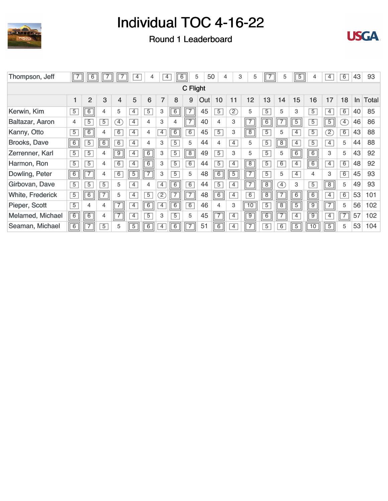





| Thompson, Jeff          | $\sqrt{7}$     | 6              |                |                              | $\overline{4}$ | 4              | 4              | 6              | 5              | 50  | 4              | 3              | 5              |                | 5              | $\overline{5}$ | 4              | 4                 | 6              | 43 | 93           |
|-------------------------|----------------|----------------|----------------|------------------------------|----------------|----------------|----------------|----------------|----------------|-----|----------------|----------------|----------------|----------------|----------------|----------------|----------------|-------------------|----------------|----|--------------|
|                         |                |                |                |                              |                |                |                |                | C Flight       |     |                |                |                |                |                |                |                |                   |                |    |              |
|                         |                | $\overline{2}$ | 3              | $\overline{4}$               | 5              | 6              | $\overline{7}$ | 8              | 9              | Out | 10             | 11             | 12             | 13             | 14             | 15             | 16             | 17                | 18             | In | <b>Total</b> |
| Kerwin, Kim             | $\overline{5}$ | $\overline{6}$ | 4              | 5                            | $\overline{4}$ | $\overline{5}$ | 3              | $\overline{6}$ | $\overline{7}$ | 45  | $\overline{5}$ | Z)             | 5              | $\overline{5}$ | 5              | 3              | $\overline{5}$ | $\overline{4}$    | $\overline{6}$ | 40 | 85           |
| Baltazar, Aaron         | 4              | 5              | $\overline{5}$ | $\left( \overline{4}\right)$ | $\overline{4}$ | 4              | 3              | 4              | 7              | 40  | $\overline{4}$ | 3              | $\sqrt{7}$     | $\overline{6}$ |                | $\overline{5}$ | $\overline{5}$ | $\overline{5}$    | $\boxed{4}$    | 46 | 86           |
| Kanny, Otto             | $\overline{5}$ | $\overline{6}$ | $\overline{4}$ | 6                            | $\overline{4}$ | 4              | $\overline{4}$ | 6              | $\overline{6}$ | 45  | $\overline{5}$ | 3              | $\sqrt{8}$     | $\overline{5}$ | 5              | $\overline{4}$ | $\overline{5}$ | $\left( 2\right)$ | 6              | 43 | 88           |
| Brooks, Dave            | 6              | $\overline{5}$ | 6              | 6                            | $\overline{4}$ | 4              | 3              | $\overline{5}$ | 5              | 44  | $\overline{4}$ | $\overline{4}$ | 5              | $\overline{5}$ | $\overline{8}$ | $\overline{4}$ | $\overline{5}$ | $\overline{4}$    | 5              | 44 | 88           |
| Zerrenner, Karl         | $\overline{5}$ | $\overline{5}$ | $\overline{4}$ | $\sqrt{9}$                   | $\overline{4}$ | $\boxed{6}$    | 3              | $\overline{5}$ | $\boxed{8}$    | 49  | $\overline{5}$ | 3              | 5              | $\overline{5}$ | 5              | 6              | $\overline{6}$ | 3                 | 5              | 43 | 92           |
| Harmon, Ron             | $\overline{5}$ | $\overline{5}$ | 4              | $\overline{6}$               | $\overline{4}$ | $\overline{6}$ | 3              | $\overline{5}$ | $\overline{6}$ | 44  | $\overline{5}$ | $\overline{4}$ | $\boxed{8}$    | $\overline{5}$ | $\overline{6}$ | $\overline{4}$ | $\overline{6}$ | $\overline{4}$    | $\overline{6}$ | 48 | 92           |
| Dowling, Peter          | $\sqrt{6}$     | $\overline{7}$ | 4              | 6                            | $\overline{5}$ | $\overline{7}$ | 3              | $\overline{5}$ | 5              | 48  | $\overline{6}$ | $\boxed{5}$    | $\sqrt{7}$     | $\overline{5}$ | 5              | $\overline{4}$ | 4              | 3                 | 6              | 45 | 93           |
| Girbovan, Dave          | $\overline{5}$ | $\overline{5}$ | $\overline{5}$ | 5                            | $\overline{4}$ | 4              | $\overline{4}$ | $\overline{6}$ | $\overline{6}$ | 44  | $\overline{5}$ | 4              | $\overline{7}$ | $\overline{8}$ | $\boxed{4}$    | 3              | $\overline{5}$ | $\overline{8}$    | 5              | 49 | 93           |
| <b>White, Frederick</b> | $\overline{5}$ | 6              |                | 5                            | $\overline{4}$ | $\overline{5}$ | $\boxed{2}$    |                |                | 48  | $6\overline{}$ | $\overline{4}$ | $\overline{6}$ | $\overline{8}$ |                | 6              | 6              | $\overline{4}$    | 6              | 53 | 101          |
| Pieper, Scott           | $\overline{5}$ | 4              | $\overline{4}$ | $\overline{7}$               | $\overline{4}$ | $\boxed{6}$    | 4              | $\overline{6}$ | $\overline{6}$ | 46  | $\overline{4}$ | 3              | 10             | $\overline{5}$ | $\overline{8}$ | $\overline{5}$ | $\overline{9}$ | $\overline{7}$    | 5              | 56 | 102          |
| Melamed, Michael        | $\boxed{6}$    | $\overline{6}$ | 4              | $\sqrt{7}$                   | 4              | $\overline{5}$ | 3              | $\overline{5}$ | 5              | 45  | $\sqrt{7}$     | $\overline{4}$ | $\overline{9}$ | 6              |                | 4              | $\overline{9}$ | $\overline{4}$    | $\overline{7}$ | 57 | 102          |
| Seaman, Michael         | $\boxed{6}$    | $\overline{7}$ | $\overline{5}$ | 5                            | $\overline{5}$ | $\overline{6}$ | 4              | 6              | $\overline{7}$ | 51  | $\overline{6}$ | 4              | $\overline{7}$ | $\overline{5}$ | 6              | $\overline{5}$ | 10             | $\overline{5}$    | 5              | 53 | 104          |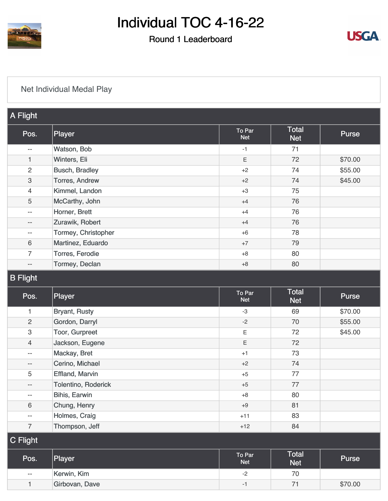

٠

## Individual TOC 4-16-22

### Round 1 Leaderboard



### [Net Individual Medal Play](https://cdn2.golfgenius.com/v2tournaments/8372859827797377786?called_from=&round_index=1)

| A Flight                 |                        |                      |                            |              |
|--------------------------|------------------------|----------------------|----------------------------|--------------|
| Pos.                     | Player                 | To Par<br><b>Net</b> | <b>Total</b><br><b>Net</b> | <b>Purse</b> |
| $-$                      | Watson, Bob            | $-1$                 | 71                         |              |
| $\mathbf{1}$             | Winters, Eli           | E                    | 72                         | \$70.00      |
| $\overline{c}$           | <b>Busch, Bradley</b>  | $+2$                 | 74                         | \$55.00      |
| 3                        | Torres, Andrew         | $+2$                 | 74                         | \$45.00      |
| $\overline{4}$           | Kimmel, Landon         | $+3$                 | 75                         |              |
| 5                        | McCarthy, John         | $+4$                 | 76                         |              |
| $- -$                    | Horner, Brett          | $+4$                 | 76                         |              |
| $- -$                    | Zurawik, Robert        | $+4$                 | 76                         |              |
| $\overline{\phantom{m}}$ | Tormey, Christopher    | $+6$                 | 78                         |              |
| 6                        | Martinez, Eduardo      | $+7$                 | 79                         |              |
| $\overline{7}$           | Torres, Ferodie        | $+8$                 | 80                         |              |
| $\overline{\phantom{a}}$ | Tormey, Declan         | $+8$                 | 80                         |              |
| <b>B</b> Flight          |                        |                      |                            |              |
| Pos.                     | Player                 | To Par<br><b>Net</b> | <b>Total</b><br><b>Net</b> | Purse        |
| 1                        | <b>Bryant, Rusty</b>   | $-3$                 | 69                         | \$70.00      |
| $\overline{c}$           | Gordon, Darryl         | $-2$                 | 70                         | \$55.00      |
| 3                        | Toor, Gurpreet         | Ε                    | 72                         | \$45.00      |
| $\overline{4}$           | Jackson, Eugene        | E                    | 72                         |              |
| $-$                      | Mackay, Bret           | $+1$                 | 73                         |              |
| $-$                      | Cerino, Michael        | $+2$                 | 74                         |              |
| 5                        | <b>Effland, Marvin</b> | $+5$                 | 77                         |              |
| $- -$                    | Tolentino, Roderick    | $+5$                 | $77$                       |              |
| $-$                      | Bihis, Earwin          | $+8$                 | 80                         |              |
| 6                        | Chung, Henry           | $+9$                 | 81                         |              |
| $\overline{\phantom{a}}$ | Holmes, Craig          | $+11$                | 83                         |              |
| $\overline{7}$           | Thompson, Jeff         | $+12$                | 84                         |              |
| C Flight                 |                        |                      |                            |              |
| Pos.                     | Player                 | To Par<br><b>Net</b> | <b>Total</b><br><b>Net</b> | Purse        |
| --                       | Kerwin, Kim            | $-2$                 | 70                         |              |
| $\mathbf{1}$             | Girbovan, Dave         | $-1$                 | $71$                       | \$70.00      |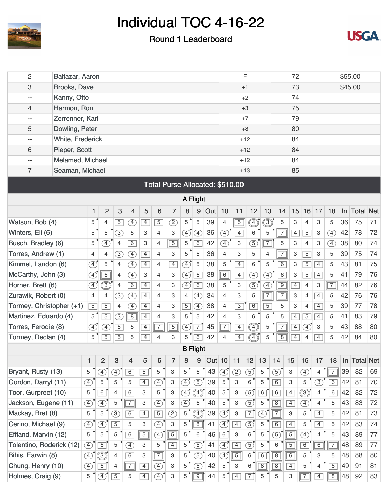

#### Round 1 Leaderboard



| $\overline{c}$           | Baltazar, Aaron<br><b>Brooks, Dave</b> |                |                |                |                             |                |                |                           |                |                              |               |                          |                           | E              |                |                | 72             |                |                | \$55.00        |       |                  |    |  |  |
|--------------------------|----------------------------------------|----------------|----------------|----------------|-----------------------------|----------------|----------------|---------------------------|----------------|------------------------------|---------------|--------------------------|---------------------------|----------------|----------------|----------------|----------------|----------------|----------------|----------------|-------|------------------|----|--|--|
| 3                        |                                        |                |                |                |                             |                |                |                           |                |                              |               |                          |                           | $+1$           |                |                | 73             | \$45.00        |                |                |       |                  |    |  |  |
| --                       | Kanny, Otto                            |                |                |                |                             |                |                |                           |                |                              |               |                          |                           | $+2$           |                |                | 74             |                |                |                |       |                  |    |  |  |
| 4                        | Harmon, Ron                            |                |                |                |                             |                |                |                           |                |                              |               | 75<br>$+3$               |                           |                |                |                |                |                |                |                |       |                  |    |  |  |
| --                       | Zerrenner, Karl                        |                |                |                |                             |                |                |                           |                |                              |               | 79<br>$+7$               |                           |                |                |                |                |                |                |                |       |                  |    |  |  |
| 5                        | Dowling, Peter                         |                |                |                |                             |                |                |                           |                |                              |               | 80<br>$+8$               |                           |                |                |                |                |                |                |                |       |                  |    |  |  |
| --                       | <b>White, Frederick</b>                |                |                |                |                             |                |                |                           |                |                              |               |                          | 84<br>$+12$               |                |                |                |                |                |                |                |       |                  |    |  |  |
| 6                        | Pieper, Scott                          |                |                |                |                             |                |                |                           |                |                              |               |                          |                           | $+12$          |                |                | 84             |                |                |                |       |                  |    |  |  |
| --                       | Melamed, Michael                       |                |                |                |                             |                |                |                           |                |                              |               |                          |                           | $+12$          |                |                | 84             |                |                |                |       |                  |    |  |  |
| $\overline{7}$           | Seaman, Michael                        |                |                |                |                             |                |                |                           |                |                              |               | 85<br>$+13$              |                           |                |                |                |                |                |                |                |       |                  |    |  |  |
|                          | Total Purse Allocated: \$510.00        |                |                |                |                             |                |                |                           |                |                              |               |                          |                           |                |                |                |                |                |                |                |       |                  |    |  |  |
|                          |                                        |                |                |                |                             |                |                |                           |                | A Flight                     |               |                          |                           |                |                |                |                |                |                |                |       |                  |    |  |  |
|                          |                                        | 1              | $\overline{2}$ | 3              | $\overline{4}$              | 5              | 6              | $\overline{7}$            | 8              | 9                            | Out           | 10                       | 11                        | 12             | 13             | 14             | 15             | 16             | 17             | 18             | In    | <b>Total Net</b> |    |  |  |
| Watson, Bob (4)          |                                        | 5              | $\overline{4}$ | $\overline{5}$ | A)                          | $\overline{4}$ | $\overline{5}$ | $^{\circledR}$            | 5              | $\sqrt{5}$                   | 39            | $\overline{4}$           | $\sqrt{5}$                | Ð              | ③              | 5              | 3              | $\overline{4}$ | $\mathbf{3}$   | 5              | 36    | 75               | 71 |  |  |
| Winters, Eli (6)         |                                        | 5              | 5              | $\circled{3}$  | 5                           | 3              | $\overline{4}$ | 3                         | $\bigoplus$    | $\left( \overline{4}\right)$ | 36            | $\circled{4}$            | $\boxed{4}$               | 6              | 5              | $\overline{7}$ | $\overline{4}$ | $\overline{5}$ | 3              | 4              | 42    | 78               | 72 |  |  |
| Busch, Bradley (6)       |                                        | 5              | $\circledA$    | 4              | 6                           | 3              | $\overline{4}$ | $\overline{5}$            | 5              | $\overline{6}$               | 42            | $\circled{4}$            | 3                         | $\circled{5}$  | $\boxed{7}$    | 5              | 3              | $\overline{4}$ | 3              | $\circled{4}$  | 38    | 80               | 74 |  |  |
| Torres, Andrew (1)       |                                        | $\overline{4}$ | 4              | $\circled{3}$  | T)                          | $\overline{4}$ | $\overline{4}$ | 3                         | 5              | 5                            | 36            | 4                        | 3                         | 5              | 4              | $\overline{7}$ | 3              | $\overline{5}$ | $\,3$          | 5              | 39    | 75               | 74 |  |  |
| Kimmel, Landon (6)       | $\circled{4}$<br>5                     |                |                | 4              | $\circled{4}$               | $\overline{4}$ | $\overline{4}$ | $\boxed{4}$               | $\mathcal{F}$  | 5                            | 38            | 5                        | $\overline{4}$            | 6              | 5              | 6              | 3              | $\overline{5}$ | $\overline{4}$ | 5              | 43    | 81               | 75 |  |  |
| McCarthy, John (3)       |                                        | $\circled{4}$  | 6              | $\overline{4}$ | $\left(\overline{4}\right)$ | 3              | $\overline{4}$ | 3                         | $\bigoplus$    | 6                            | 38            | 6                        | $\overline{4}$            | Œ              | $\circled{4}$  | 6              | 3              | $\overline{5}$ | $\overline{4}$ | 5              | 41    | 79               | 76 |  |  |
| Horner, Brett (6)        |                                        | $\circled{4}$  | ③              | 4              | 6                           | $\overline{4}$ | 4              | 3                         | $\bigcirc$     | $\overline{6}$               | 38            | 5                        | 3                         | $\circledS$    | $\circled{4}$  | $\overline{9}$ | $\overline{4}$ | $\overline{4}$ | 3              | $\overline{7}$ | 44    | 82               | 76 |  |  |
| Zurawik, Robert (0)      |                                        | $\overline{4}$ | 4              | 3              | $\circled{4}$               | $\overline{4}$ | $\overline{4}$ | 3                         | 4              | $\left(\overline{4}\right)$  | 34            | 4                        | 3                         | 5              | $\sqrt{7}$     | $\overline{7}$ | 3              | $\overline{4}$ | $\overline{4}$ | 5              | 42    | 76               | 76 |  |  |
| Tormey, Christopher (+1) |                                        | $\overline{5}$ | $\overline{5}$ | $\overline{4}$ | $\left(\overline{4}\right)$ | $\overline{4}$ | $\overline{4}$ | 3                         | $\overline{5}$ | $\left( \overline{4}\right)$ | 38            | $\overline{4}$           | $\sqrt{3}$                | 6              | $\overline{5}$ | 5              | 3              | $\overline{4}$ | $\overline{4}$ | 5              | 39    | 77               | 78 |  |  |
| Martinez, Eduardo (4)    |                                        | 5              | $\overline{5}$ | $\circled{3}$  | $\boxed{8}$                 | $\overline{4}$ | $\overline{4}$ | 3                         | 5              | 5                            | 42            | $\overline{4}$           | 3                         | 6              | 5              | 5              | $\overline{4}$ | $\overline{5}$ | $\overline{4}$ | 5              | 41    | 83               | 79 |  |  |
| Torres, Ferodie (8)      |                                        | $\circled{4}$  | $\circledA$    | $\sqrt{5}$     | 5                           | $\overline{4}$ | $\boxed{7}$    | $\overline{5}$            | $\bigoplus$    | $\overline{7}$               | 45            | $\overline{\phantom{0}}$ | $\overline{4}$            | D              | 5              | $\overline{7}$ | $\overline{4}$ | Ð              | 3              | 5              | 43    | 88               | 80 |  |  |
| Tormey, Declan (4)       |                                        | 5              | $\overline{5}$ | $\overline{5}$ | 5                           | $\overline{4}$ | 4              | 3                         | 5              | 6                            | 42            | 4                        | $\overline{4}$            | $\boxed{4}$    | 5              | $\overline{8}$ | $\overline{4}$ | 4              | $\overline{4}$ | 5              | 42    | 84               | 80 |  |  |
|                          |                                        |                |                |                |                             |                |                |                           |                | <b>B</b> Flight              |               |                          |                           |                |                |                |                |                |                |                |       |                  |    |  |  |
|                          |                                        | 1              | $\overline{2}$ | 3              | $\overline{4}$              | 5              | 6              | $\overline{7}$            | 8              | 9                            | <b>Out</b> 10 |                          | 11                        | 12             | 13             | 14             | 15             | 16             | 17             | 18             | $\ln$ | <b>Total Net</b> |    |  |  |
| Bryant, Rusty (13)       |                                        | 5              | $\circled{4}$  | $\circledA$    | $\boxed{6}$                 | $\overline{5}$ | 5              | 3                         | $5^{\degree}$  | $\,6\,$                      | 43            | $\circled{4}$            | $\circled{2}$             | $\circled{5}$  | $\,$ 5 $\,$    | $\circled{5}$  | 3              | $\circled{4}$  | 4              | $\sqrt{7}$     | 39    | 82               | 69 |  |  |
| Gordon, Darryl (11)      |                                        | $\circled{4}$  | 5              | 5              | 5                           | $\overline{4}$ | $\circled{4}$  | $\ensuremath{\mathsf{3}}$ | $\bigcirc$     | $\circled{5}$                | 39            | 5                        | 3                         | 6              | 5              | 6              | 3              | 5              | (3)            | 6              | 42    | 81               | 70 |  |  |
| Toor, Gurpreet (10)      |                                        | 5              | $\boxed{6}$    | 4              | 6                           | 3              | 5              | 3                         | $\circled{4}$  | $\circled{4}$                | 40            | 5                        | $\ensuremath{\mathsf{3}}$ | $\circledS$    | $\overline{6}$ | 6              | $\boxed{4}$    | $\circledS$    | 4              | 6              | 42    | 82               | 72 |  |  |
| Jackson, Eugene (11)     |                                        | $\circled{4}$  | $\circled{4}$  | 5              | $\sqrt{7}$                  | 3              | $\circled{4}$  | 3                         | $\bigoplus$    | $\,6\,$                      | 40            | 5                        | 3                         | $\circledS$    | 5              | $\overline{8}$ | $\overline{4}$ | $\circled{4}$  | 4              | 5              | 43    | 83               | 72 |  |  |
| Mackay, Bret (8)         |                                        | 5              | 5              | $\circled{3}$  | 6                           | $\overline{4}$ | $\overline{5}$ | $\circled{2}$             | 5              | ◉                            | 39            | $\circled{4}$            | $\ensuremath{\mathsf{3}}$ | $\overline{7}$ | $\circled{4}$  | $\overline{7}$ | 3              | 5              | $\overline{4}$ | 5              | 42    | 81               | 73 |  |  |
| Cerino, Michael (9)      |                                        | ④              | $\circled{4}$  | $\overline{5}$ | 5                           | 3              | $\circled{4}$  | 3                         | 5              | $\overline{8}$               | 41            | $\circled{4}$            | $\overline{4}$            | $\circled{5}$  | 5              | 6              | $\overline{4}$ | 5              | $\boxed{4}$    | 5              | 42    | 83               | 74 |  |  |
| Effland, Marvin (12)     |                                        | 5              | 5              | 5              | 6                           | $\overline{5}$ | $\circled{4}$  | $\overline{5}$            | 5              | 6                            | 46            | 6                        | $\ensuremath{\mathsf{3}}$ | 6              | 5              | $\circledS$    | $\boxed{5}$    | $\circled{4}$  | 4              | 5              | 43    | 89               | 77 |  |  |
| Tolentino, Roderick (12) |                                        | $\circled{4}$  | $\boxed{6}$    | 5              | ④                           | 3              | 5              | $\overline{4}$            | $5^{\degree}$  | $\circled{5}$                | 41            | $\bigcirc$               | $\overline{4}$            | $\circledS$    | 5              | 6              | $\overline{5}$ | $\overline{6}$ | $\boxed{6}$    | $\overline{7}$ | 48    | 89               | 77 |  |  |
| Bihis, Earwin (8)        |                                        | $\circled{4}$  | ③              | 4              | 6                           | 3              | $\boxed{7}$    | 3                         | 5 <sup>1</sup> | $\circled{5}$                | 40            | $\circled{4}$            | $\boxed{5}$               | 6              | $\overline{6}$ | $\overline{8}$ | $\overline{6}$ | 5              | 3              | 5              | 48    | 88               | 80 |  |  |
| Chung, Henry (10)        |                                        | ④              | $\overline{6}$ | 4              | $\sqrt{7}$                  | $\overline{4}$ | ④              | 3                         | 5              | (5)                          | 42            | 5                        | 3                         | 6              | $\overline{8}$ | $\overline{8}$ | $\overline{4}$ | 5              | 4              | 6              | 49    | 91               | 81 |  |  |
| Holmes, Craig (9)        |                                        | 5              | Ð              | $\overline{5}$ | 5                           | $\overline{4}$ | $\circled{4}$  | 3                         | 5              | $\sqrt{9}$                   | 44            | 5                        | $\overline{4}$            | $\overline{7}$ | 5              | 5              | 3              | $\sqrt{7}$     | $\overline{4}$ | $\boxed{8}$    | 48    | 92               | 83 |  |  |